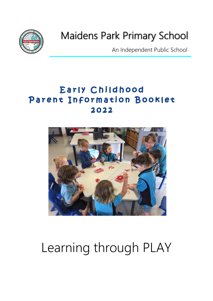

## Maidens Park Primary School

An Independent Public School

## Early Childhood Parent Information Booklet 2022



# Learning through PLAY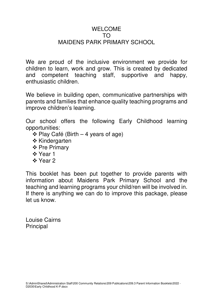#### WELCOME TO MAIDENS PARK PRIMARY SCHOOL

We are proud of the inclusive environment we provide for children to learn, work and grow. This is created by dedicated and competent teaching staff, supportive and happy, enthusiastic children.

We believe in building open, communicative partnerships with parents and families that enhance quality teaching programs and improve children's learning.

Our school offers the following Early Childhood learning opportunities:

- $\div$  Play Café (Birth 4 years of age)
- ❖ Kindergarten
- ❖ Pre Primary
- Year 1
- Year 2

This booklet has been put together to provide parents with information about Maidens Park Primary School and the teaching and learning programs your child/ren will be involved in. If there is anything we can do to improve this package, please let us know.

Louise Cairns Principal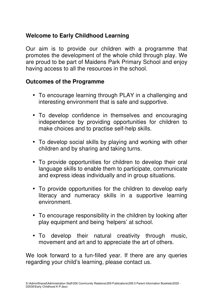#### **Welcome to Early Childhood Learning**

Our aim is to provide our children with a programme that promotes the development of the whole child through play. We are proud to be part of Maidens Park Primary School and enjoy having access to all the resources in the school.

#### **Outcomes of the Programme**

- To encourage learning through PLAY in a challenging and interesting environment that is safe and supportive.
- To develop confidence in themselves and encouraging independence by providing opportunities for children to make choices and to practise self-help skills.
- To develop social skills by playing and working with other children and by sharing and taking turns.
- To provide opportunities for children to develop their oral language skills to enable them to participate, communicate and express ideas individually and in group situations.
- To provide opportunities for the children to develop early literacy and numeracy skills in a supportive learning environment.
- To encourage responsibility in the children by looking after play equipment and being 'helpers' at school.
- To develop their natural creativity through music, movement and art and to appreciate the art of others.

We look forward to a fun-filled year. If there are any queries regarding your child's learning, please contact us.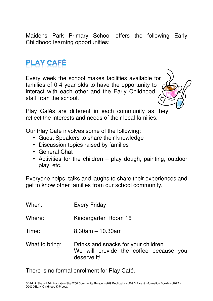Maidens Park Primary School offers the following Early Childhood learning opportunities:

## **PLAY CAFÉ**

Every week the school makes facilities available for families of 0-4 year olds to have the opportunity to interact with each other and the Early Childhood staff from the school.



Play Cafés are different in each community as they reflect the interests and needs of their local families.

Our Play Café involves some of the following:

- Guest Speakers to share their knowledge
- Discussion topics raised by families
- General Chat
- Activities for the children  $-$  play dough, painting, outdoor play, etc.

Everyone helps, talks and laughs to share their experiences and get to know other families from our school community.

| When:          | <b>Every Friday</b>                                                                           |
|----------------|-----------------------------------------------------------------------------------------------|
| Where:         | Kindergarten Room 16                                                                          |
| Time:          | $8.30$ am $-10.30$ am                                                                         |
| What to bring: | Drinks and snacks for your children.<br>We will provide the coffee because you<br>deserve it! |

There is no formal enrolment for Play Café.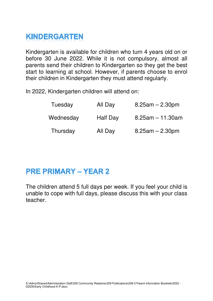#### **KINDERGARTEN**

Kindergarten is available for children who turn 4 years old on or before 30 June 2022. While it is not compulsory, almost all parents send their children to Kindergarten so they get the best start to learning at school. However, if parents choose to enrol their children in Kindergarten they must attend regularly.

In 2022, Kindergarten children will attend on:

| Tuesday   | All Day  | $8.25$ am $- 2.30$ pm |
|-----------|----------|-----------------------|
| Wednesday | Half Day | $8.25$ am $-11.30$ am |
| Thursday  | All Day  | $8.25$ am $- 2.30$ pm |

#### **PRE PRIMARY - YEAR 2**

The children attend 5 full days per week. If you feel your child is unable to cope with full days, please discuss this with your class teacher.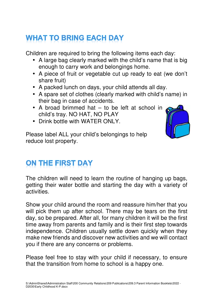## **WHAT TO BRING EACH DAY**

Children are required to bring the following items each day:

- A large bag clearly marked with the child's name that is big enough to carry work and belongings home.
- A piece of fruit or vegetable cut up ready to eat (we don't share fruit)
- A packed lunch on days, your child attends all day.
- A spare set of clothes (clearly marked with child's name) in their bag in case of accidents.
- A broad brimmed hat to be left at school in child's tray. NO HAT, NO PLAY
- Drink bottle with WATER ONLY

Please label ALL your child's belongings to help reduce lost property.



#### **ON THE FIRST DAY**

The children will need to learn the routine of hanging up bags, getting their water bottle and starting the day with a variety of activities.

Show your child around the room and reassure him/her that you will pick them up after school. There may be tears on the first day, so be prepared. After all, for many children it will be the first time away from parents and family and is their first step towards independence. Children usually settle down quickly when they make new friends and discover new activities and we will contact you if there are any concerns or problems.

Please feel free to stay with your child if necessary, to ensure that the transition from home to school is a happy one.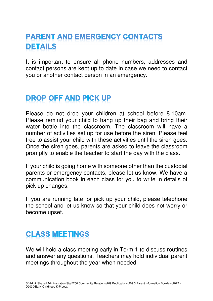#### **PARENT AND EMERGENCY CONTACTS DETAILS**

It is important to ensure all phone numbers, addresses and contact persons are kept up to date in case we need to contact you or another contact person in an emergency.

#### **DROP OFF AND PICK UP**

Please do not drop your children at school before 8.10am. Please remind your child to hang up their bag and bring their water bottle into the classroom. The classroom will have a number of activities set up for use before the siren. Please feel free to assist your child with these activities until the siren goes. Once the siren goes, parents are asked to leave the classroom promptly to enable the teacher to start the day with the class.

If your child is going home with someone other than the custodial parents or emergency contacts, please let us know. We have a communication book in each class for you to write in details of pick up changes.

If you are running late for pick up your child, please telephone the school and let us know so that your child does not worry or become upset.

#### **CLASS MEETINGS**

We will hold a class meeting early in Term 1 to discuss routines and answer any questions. Teachers may hold individual parent meetings throughout the year when needed.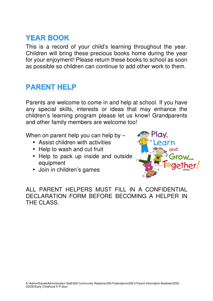#### **YEAR BOOK**

This is a record of your child's learning throughout the year. Children will bring these precious books home during the year for your enjoyment! Please return these books to school as soon as possible so children can continue to add other work to them.

#### **PARENT HELP**

Parents are welcome to come in and help at school. If you have any special skills, interests or ideas that may enhance the children's learning program please let us know! Grandparents and other family members are welcome too!

When on parent help you can help by -

- Assist children with activities
- Help to wash and cut fruit
- Help to pack up inside and outside equipment
- Join in children's games



ALL PARENT HELPERS MUST FILL IN A CONFIDENTIAL DECLARATION FORM BEFORE BECOMING A HELPER IN THE CLASS.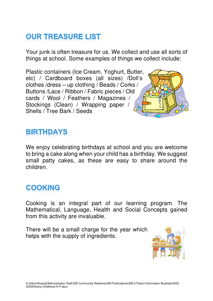## **OUR TREASURE LIST**

Your junk is often treasure for us. We collect and use all sorts of things at school. Some examples of things we collect include:

Plastic containers (Ice Cream, Yoghurt, Butter, etc) / Cardboard boxes (all sizes) /Doll's clothes /dress – up clothing / Beads / Corks / Buttons /Lace / Ribbon / Fabric pieces / Old cards / Wool / Feathers / Magazines / Stockings (Clean) / Wrapping paper / Shells / Tree Bark / Seeds



#### **BIRTHDAYS**

We enjoy celebrating birthdays at school and you are welcome to bring a cake along when your child has a birthday. We suggest small patty cakes, as these are easy to share around the children.

#### **COOKING**

Cooking is an integral part of our learning program. The Mathematical, Language, Health and Social Concepts gained from this activity are invaluable.

There will be a small charge for the year which helps with the supply of ingredients.